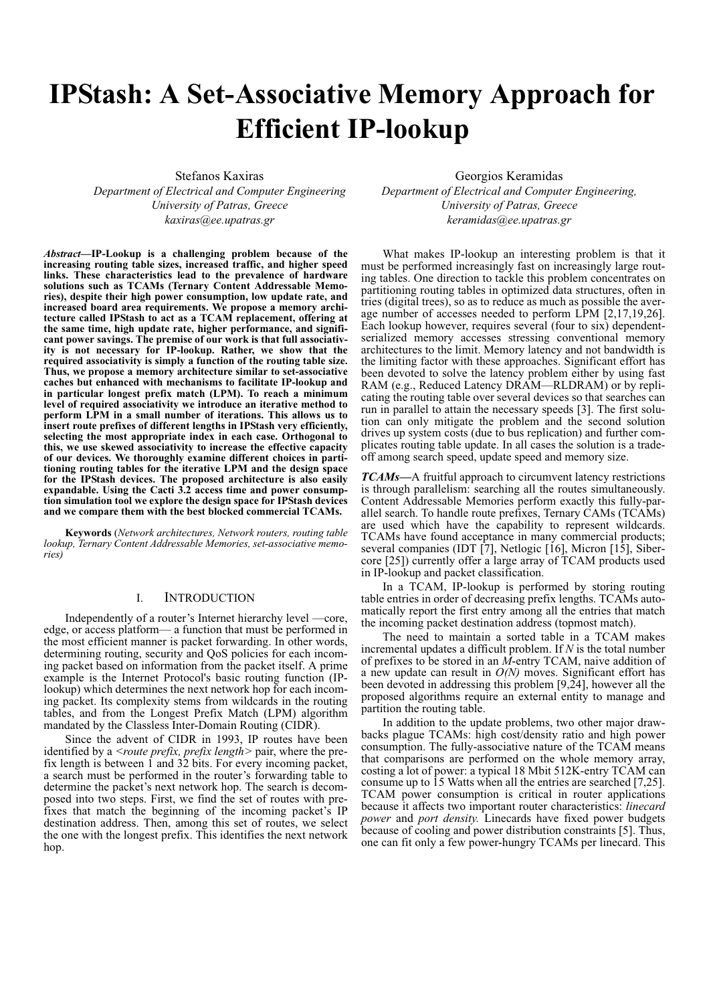# **IPStash: A Set-Associative Memory Approach for Efficient IP-lookup**

Stefanos Kaxiras *Department of Electrical and Computer Engineering University of Patras, Greece kaxiras@ee.upatras.gr*

*Abstract—***IP-Lookup is a challenging problem because of the increasing routing table sizes, increased traffic, and higher speed links. These characteristics lead to the prevalence of hardware solutions such as TCAMs (Ternary Content Addressable Memories), despite their high power consumption, low update rate, and increased board area requirements. We propose a memory architecture called IPStash to act as a TCAM replacement, offering at the same time, high update rate, higher performance, and significant power savings. The premise of our work is that full associativity is not necessary for IP-lookup. Rather, we show that the required associativity is simply a function of the routing table size. Thus, we propose a memory architecture similar to set-associative caches but enhanced with mechanisms to facilitate IP-lookup and in particular longest prefix match (LPM). To reach a minimum level of required associativity we introduce an iterative method to perform LPM in a small number of iterations. This allows us to insert route prefixes of different lengths in IPStash very efficiently, selecting the most appropriate index in each case. Orthogonal to this, we use skewed associativity to increase the effective capacity of our devices. We thoroughly examine different choices in partitioning routing tables for the iterative LPM and the design space for the IPStash devices. The proposed architecture is also easily expandable. Using the Cacti 3.2 access time and power consumption simulation tool we explore the design space for IPStash devices and we compare them with the best blocked commercial TCAMs.**

**Keywords** (*Network architectures, Network routers, routing table lookup, Ternary Content Addressable Memories, set-associative memories)*

# I. INTRODUCTION

Independently of a router's Internet hierarchy level —core, edge, or access platform— a function that must be performed in the most efficient manner is packet forwarding. In other words, determining routing, security and QoS policies for each incoming packet based on information from the packet itself. A prime example is the Internet Protocol's basic routing function (IPlookup) which determines the next network hop for each incoming packet. Its complexity stems from wildcards in the routing tables, and from the Longest Prefix Match (LPM) algorithm mandated by the Classless Inter-Domain Routing (CIDR).

Since the advent of CIDR in 1993, IP routes have been identified by a *<route prefix, prefix length>* pair, where the prefix length is between  $\hat{1}$  and  $\hat{32}$  bits. For every incoming packet, a search must be performed in the router's forwarding table to determine the packet's next network hop. The search is decomposed into two steps. First, we find the set of routes with prefixes that match the beginning of the incoming packet's IP destination address. Then, among this set of routes, we select the one with the longest prefix. This identifies the next network hop.

Georgios Keramidas

*Department of Electrical and Computer Engineering, University of Patras, Greece keramidas@ee.upatras.gr*

What makes IP-lookup an interesting problem is that it must be performed increasingly fast on increasingly large routing tables. One direction to tackle this problem concentrates on partitioning routing tables in optimized data structures, often in tries (digital trees), so as to reduce as much as possible the average number of accesses needed to perform LPM [2,17,19,26]. Each lookup however, requires several (four to six) dependentserialized memory accesses stressing conventional memory architectures to the limit. Memory latency and not bandwidth is the limiting factor with these approaches. Significant effort has been devoted to solve the latency problem either by using fast RAM (e.g., Reduced Latency DRAM—RLDRAM) or by replicating the routing table over several devices so that searches can run in parallel to attain the necessary speeds [\[3\].](#page-8-0) The first solution can only mitigate the problem and the second solution drives up system costs (due to bus replication) and further complicates routing table update. In all cases the solution is a tradeoff among search speed, update speed and memory size.

*TCAMs—*A fruitful approach to circumvent latency restrictions is through parallelism: searching all the routes simultaneously. Content Addressable Memories perform exactly this fully-parallel search. To handle route prefixes, Ternary CAMs (TCAMs) are used which have the capability to represent wildcards. TCAMs have found acceptance in many commercial products; several companies (IDT [7], Netlogic [16], Micron [15], Sibercore [25]) currently offer a large array of TCAM products used in IP-lookup and packet classification.

In a TCAM, IP-lookup is performed by storing routing table entries in order of decreasing prefix lengths. TCAMs automatically report the first entry among all the entries that match the incoming packet destination address (topmost match).

The need to maintain a sorted table in a TCAM makes incremental updates a difficult problem. If *N* is the total number of prefixes to be stored in an *M*-entry TCAM, naive addition of a new update can result in *O(N)* moves. Significant effort has been devoted in addressing this problem [9,24], however all the proposed algorithms require an external entity to manage and partition the routing table.

In addition to the update problems, two other major drawbacks plague TCAMs: high cost/density ratio and high power consumption. The fully-associative nature of the TCAM means that comparisons are performed on the whole memory array, costing a lot of power: a typical 18 Mbit 512K-entry TCAM can consume up to 15 Watts when all the entries are searched [7,25]. TCAM power consumption is critical in router applications because it affects two important router characteristics: *linecard power* and *port density.* Linecards have fixed power budgets because of cooling and power distribution constraints [5]. Thus, one can fit only a few power-hungry TCAMs per linecard. This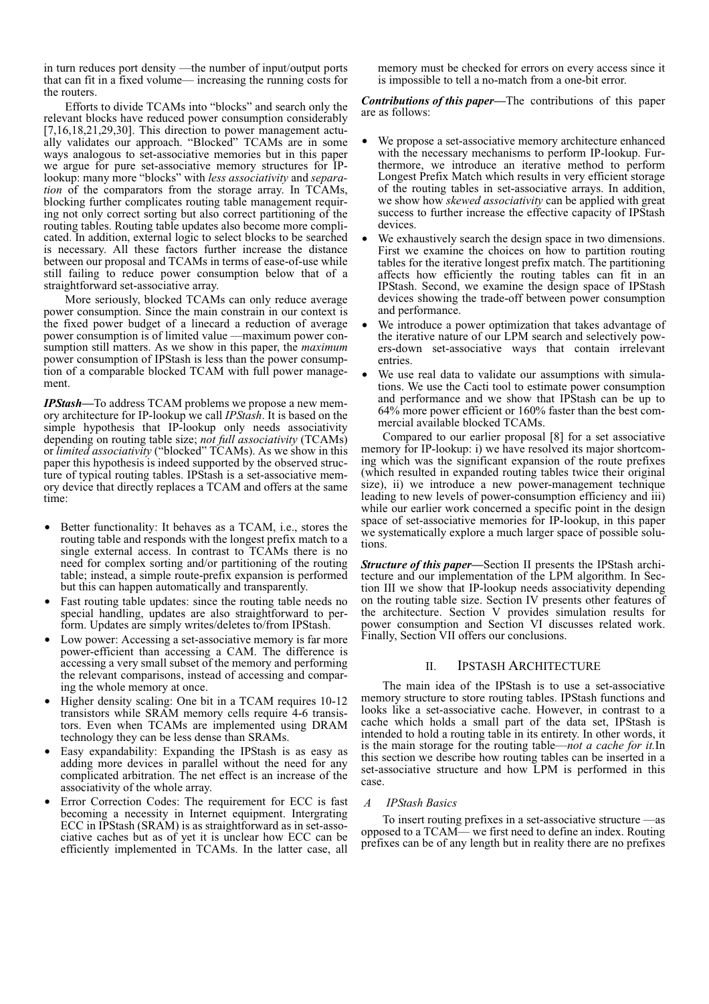in turn reduces port density —the number of input/output ports that can fit in a fixed volume— increasing the running costs for the routers.

Efforts to divide TCAMs into "blocks" and search only the relevant blocks have reduced power consumption considerably [7,16,18,21,29,30]. This direction to power management actually validates our approach. "Blocked" TCAMs are in some ways analogous to set-associative memories but in this paper we argue for pure set-associative memory structures for IPlookup: many more "blocks" with *less associativity* and *separation* of the comparators from the storage array. In TCAMs, blocking further complicates routing table management requiring not only correct sorting but also correct partitioning of the routing tables. Routing table updates also become more complicated. In addition, external logic to select blocks to be searched is necessary. All these factors further increase the distance between our proposal and TCAMs in terms of ease-of-use while still failing to reduce power consumption below that of a straightforward set-associative array.

More seriously, blocked TCAMs can only reduce average power consumption. Since the main constrain in our context is the fixed power budget of a linecard a reduction of average power consumption is of limited value —maximum power consumption still matters. As we show in this paper, the *maximum* power consumption of IPStash is less than the power consumption of a comparable blocked TCAM with full power management.

*IPStash—*To address TCAM problems we propose a new memory architecture for IP-lookup we call *IPStash*. It is based on the simple hypothesis that IP-lookup only needs associativity depending on routing table size; *not full associativity* (TCAMs) or *limited associativity* ("blocked" TCAMs). As we show in this paper this hypothesis is indeed supported by the observed structure of typical routing tables. IPStash is a set-associative memory device that directly replaces a TCAM and offers at the same time:

- **•** Better functionality: It behaves as a TCAM, i.e., stores the routing table and responds with the longest prefix match to a single external access. In contrast to TCAMs there is no need for complex sorting and/or partitioning of the routing table; instead, a simple route-prefix expansion is performed but this can happen automatically and transparently.
- Fast routing table updates: since the routing table needs no special handling, updates are also straightforward to perform. Updates are simply writes/deletes to/from IPStash.
- **•** Low power: Accessing a set-associative memory is far more power-efficient than accessing a CAM. The difference is accessing a very small subset of the memory and performing the relevant comparisons, instead of accessing and comparing the whole memory at once.
- Higher density scaling: One bit in a TCAM requires 10-12 transistors while SRAM memory cells require 4-6 transistors. Even when TCAMs are implemented using DRAM technology they can be less dense than SRAMs.
- **•** Easy expandability: Expanding the IPStash is as easy as adding more devices in parallel without the need for any complicated arbitration. The net effect is an increase of the associativity of the whole array.
- **•** Error Correction Codes: The requirement for ECC is fast becoming a necessity in Internet equipment. Intergrating ECC in IPStash (SRAM) is as straightforward as in set-associative caches but as of yet it is unclear how ECC can be efficiently implemented in TCAMs. In the latter case, all

memory must be checked for errors on every access since it is impossible to tell a no-match from a one-bit error.

*Contributions of this paper—*The contributions of this paper are as follows:

- **•** We propose a set-associative memory architecture enhanced with the necessary mechanisms to perform IP-lookup. Furthermore, we introduce an iterative method to perform Longest Prefix Match which results in very efficient storage of the routing tables in set-associative arrays. In addition, we show how *skewed associativity* can be applied with great success to further increase the effective capacity of IPStash devices.
- We exhaustively search the design space in two dimensions. First we examine the choices on how to partition routing tables for the iterative longest prefix match. The partitioning affects how efficiently the routing tables can fit in an IPStash. Second, we examine the design space of IPStash devices showing the trade-off between power consumption and performance.
- We introduce a power optimization that takes advantage of the iterative nature of our LPM search and selectively powers-down set-associative ways that contain irrelevant entries.
- We use real data to validate our assumptions with simulations. We use the Cacti tool to estimate power consumption and performance and we show that IPStash can be up to 64% more power efficient or 160% faster than the best commercial available blocked TCAMs.

Compared to our earlier proposal [\[8\]](#page-9-0) for a set associative memory for IP-lookup: i) we have resolved its major shortcoming which was the significant expansion of the route prefixes (which resulted in expanded routing tables twice their original size), ii) we introduce a new power-management technique leading to new levels of power-consumption efficiency and iii) while our earlier work concerned a specific point in the design space of set-associative memories for IP-lookup, in this paper we systematically explore a much larger space of possible solutions.

*Structure of this paper—*[Section II](#page-1-0) presents the IPStash architecture and our implementation of the LPM algorithm. In [Sec](#page-4-0)[tion III](#page-4-0) we show that IP-lookup needs associativity depending on the routing table size. [Section IV](#page-6-1) presents other features of the architecture. [Section V](#page-6-0) provides simulation results for power consumption and [Section VI](#page-8-1) discusses related work. Finally, [Section VII](#page-8-2) offers our conclusions.

# II. IPSTASH ARCHITECTURE

<span id="page-1-0"></span>The main idea of the IPStash is to use a set-associative memory structure to store routing tables. IPStash functions and looks like a set-associative cache. However, in contrast to a cache which holds a small part of the data set, IPStash is intended to hold a routing table in its entirety. In other words, it is the main storage for the routing table—*not a cache for it.*In this section we describe how routing tables can be inserted in a set-associative structure and how LPM is performed in this case.

## <span id="page-1-1"></span> *A IPStash Basics*

To insert routing prefixes in a set-associative structure —as opposed to a TCAM— we first need to define an index. Routing prefixes can be of any length but in reality there are no prefixes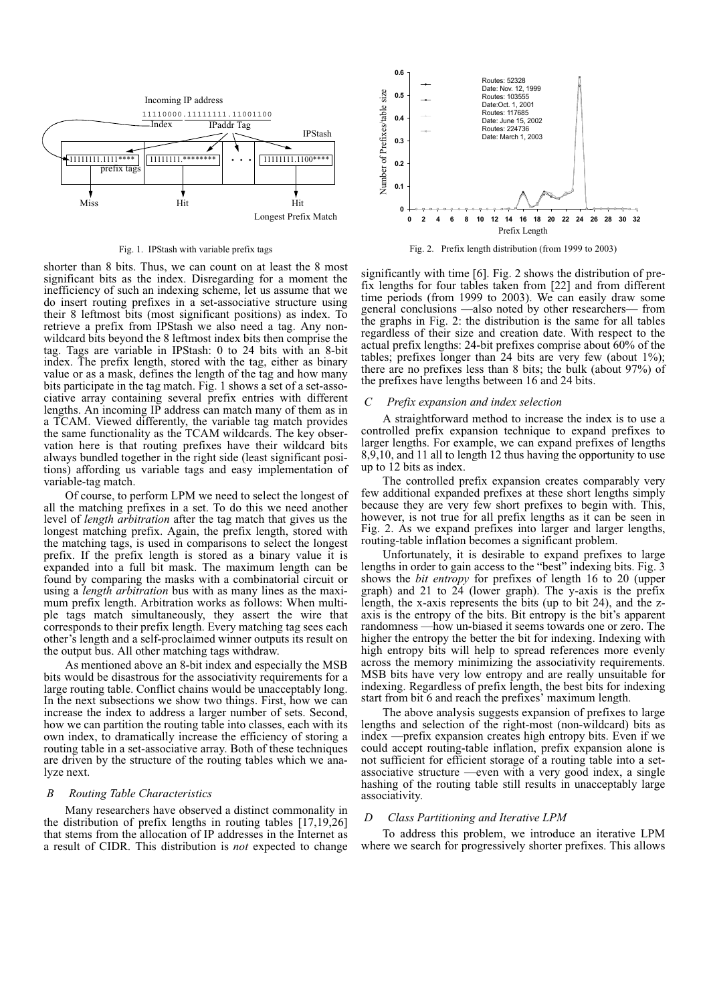

#### Fig. 1. IPStash with variable prefix tags

shorter than 8 bits. Thus, we can count on at least the 8 most significant bits as the index. Disregarding for a moment the inefficiency of such an indexing scheme, let us assume that we do insert routing prefixes in a set-associative structure using their 8 leftmost bits (most significant positions) as index. To retrieve a prefix from IPStash we also need a tag. Any nonwildcard bits beyond the 8 leftmost index bits then comprise the tag. Tags are variable in IPStash: 0 to 24 bits with an 8-bit index. The prefix length, stored with the tag, either as binary value or as a mask, defines the length of the tag and how many bits participate in the tag match. Fig. 1 shows a set of a set-associative array containing several prefix entries with different lengths. An incoming IP address can match many of them as in a TCAM. Viewed differently, the variable tag match provides the same functionality as the TCAM wildcards. The key observation here is that routing prefixes have their wildcard bits always bundled together in the right side (least significant positions) affording us variable tags and easy implementation of variable-tag match.

Of course, to perform LPM we need to select the longest of all the matching prefixes in a set. To do this we need another level of *length arbitration* after the tag match that gives us the longest matching prefix. Again, the prefix length, stored with the matching tags, is used in comparisons to select the longest prefix. If the prefix length is stored as a binary value it is expanded into a full bit mask. The maximum length can be found by comparing the masks with a combinatorial circuit or using a *length arbitration* bus with as many lines as the maximum prefix length. Arbitration works as follows: When multiple tags match simultaneously, they assert the wire that corresponds to their prefix length. Every matching tag sees each other's length and a self-proclaimed winner outputs its result on the output bus. All other matching tags withdraw.

As mentioned above an 8-bit index and especially the MSB bits would be disastrous for the associativity requirements for a large routing table. Conflict chains would be unacceptably long. In the next subsections we show two things. First, how we can increase the index to address a larger number of sets. Second, how we can partition the routing table into classes, each with its own index, to dramatically increase the efficiency of storing a routing table in a set-associative array. Both of these techniques are driven by the structure of the routing tables which we analyze next.

#### *B Routing Table Characteristics*

Many researchers have observed a distinct commonality in the distribution of prefix lengths in routing tables [17,19,26] that stems from the allocation of IP addresses in the Internet as a result of CIDR. This distribution is *not* expected to change



Fig. 2. Prefix length distribution (from 1999 to 2003)

<span id="page-2-0"></span>significantly with time [6]. [Fig. 2](#page-2-0) shows the distribution of prefix lengths for four tables taken from [22] and from different time periods (from 1999 to 2003). We can easily draw some general conclusions —also noted by other researchers— from the graphs in [Fig. 2:](#page-2-0) the distribution is the same for all tables regardless of their size and creation date. With respect to the actual prefix lengths: 24-bit prefixes comprise about  $60\%$  of the tables; prefixes longer than 24 bits are very few (about 1%); there are no prefixes less than 8 bits; the bulk (about 97%) of the prefixes have lengths between 16 and 24 bits.

#### *C Prefix expansion and index selection*

A straightforward method to increase the index is to use a controlled prefix expansion technique to expand prefixes to larger lengths. For example, we can expand prefixes of lengths 8,9,10, and 11 all to length 12 thus having the opportunity to use up to 12 bits as index.

The controlled prefix expansion creates comparably very few additional expanded prefixes at these short lengths simply because they are very few short prefixes to begin with. This, however, is not true for all prefix lengths as it can be seen in [Fig. 2](#page-2-0). As we expand prefixes into larger and larger lengths, routing-table inflation becomes a significant problem.

Unfortunately, it is desirable to expand prefixes to large lengths in order to gain access to the "best" indexing bits. Fig. 3 shows the *bit entropy* for prefixes of length 16 to 20 (upper graph) and 21 to  $24$  (lower graph). The y-axis is the prefix length, the x-axis represents the bits (up to bit 24), and the zaxis is the entropy of the bits. Bit entropy is the bit's apparent randomness —how un-biased it seems towards one or zero. The higher the entropy the better the bit for indexing. Indexing with high entropy bits will help to spread references more evenly across the memory minimizing the associativity requirements. MSB bits have very low entropy and are really unsuitable for indexing. Regardless of prefix length, the best bits for indexing start from bit 6 and reach the prefixes' maximum length.

The above analysis suggests expansion of prefixes to large lengths and selection of the right-most (non-wildcard) bits as index —prefix expansion creates high entropy bits. Even if we could accept routing-table inflation, prefix expansion alone is not sufficient for efficient storage of a routing table into a setassociative structure —even with a very good index, a single hashing of the routing table still results in unacceptably large associativity.

#### *D Class Partitioning and Iterative LPM*

To address this problem, we introduce an iterative LPM where we search for progressively shorter prefixes. This allows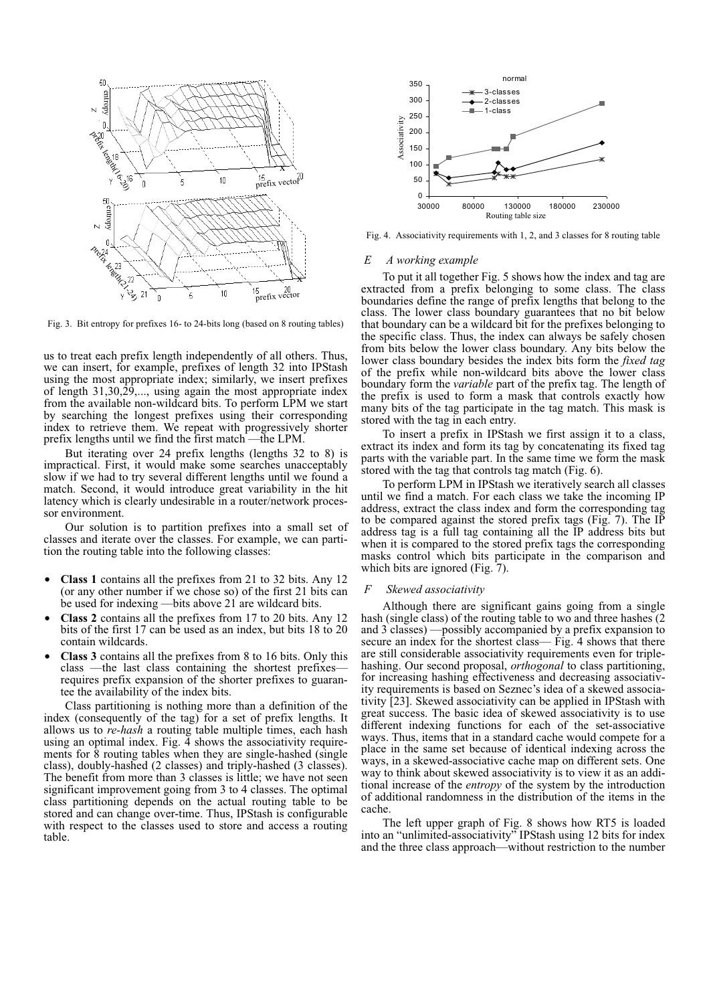

Fig. 3. Bit entropy for prefixes 16- to 24-bits long (based on 8 routing tables)

us to treat each prefix length independently of all others. Thus, we can insert, for example, prefixes of length 32 into IPStash using the most appropriate index; similarly, we insert prefixes of length 31,30,29,..., using again the most appropriate index from the available non-wildcard bits. To perform LPM we start by searching the longest prefixes using their corresponding index to retrieve them. We repeat with progressively shorter prefix lengths until we find the first match —the LPM.

But iterating over 24 prefix lengths (lengths 32 to 8) is impractical. First, it would make some searches unacceptably slow if we had to try several different lengths until we found a match. Second, it would introduce great variability in the hit latency which is clearly undesirable in a router/network processor environment.

Our solution is to partition prefixes into a small set of classes and iterate over the classes. For example, we can partition the routing table into the following classes:

- **• Class 1** contains all the prefixes from 21 to 32 bits. Any 12 (or any other number if we chose so) of the first 21 bits can be used for indexing —bits above 21 are wildcard bits.
- **• Class 2** contains all the prefixes from 17 to 20 bits. Any 12 bits of the first 17 can be used as an index, but bits 18 to 20 contain wildcards.
- **• Class 3** contains all the prefixes from 8 to 16 bits. Only this class —the last class containing the shortest prefixes requires prefix expansion of the shorter prefixes to guarantee the availability of the index bits.

Class partitioning is nothing more than a definition of the index (consequently of the tag) for a set of prefix lengths. It allows us to *re-hash* a routing table multiple times, each hash using an optimal index. Fig.  $\overline{4}$  shows the associativity requirements for 8 routing tables when they are single-hashed (single class), doubly-hashed (2 classes) and triply-hashed (3 classes). The benefit from more than 3 classes is little; we have not seen significant improvement going from 3 to 4 classes. The optimal class partitioning depends on the actual routing table to be stored and can change over-time. Thus, IPStash is configurable with respect to the classes used to store and access a routing table.



Fig. 4. Associativity requirements with 1, 2, and 3 classes for 8 routing table

#### *E A working example*

To put it all together Fig. 5 shows how the index and tag are extracted from a prefix belonging to some class. The class boundaries define the range of prefix lengths that belong to the class. The lower class boundary guarantees that no bit below that boundary can be a wildcard bit for the prefixes belonging to the specific class. Thus, the index can always be safely chosen from bits below the lower class boundary. Any bits below the lower class boundary besides the index bits form the *fixed tag* of the prefix while non-wildcard bits above the lower class boundary form the *variable* part of the prefix tag. The length of the prefix is used to form a mask that controls exactly how many bits of the tag participate in the tag match. This mask is stored with the tag in each entry.

To insert a prefix in IPStash we first assign it to a class, extract its index and form its tag by concatenating its fixed tag parts with the variable part. In the same time we form the mask stored with the tag that controls tag match (Fig. 6).

To perform LPM in IPStash we iteratively search all classes until we find a match. For each class we take the incoming IP address, extract the class index and form the corresponding tag to be compared against the stored prefix tags (Fig. 7). The IP address tag is a full tag containing all the IP address bits but when it is compared to the stored prefix tags the corresponding masks control which bits participate in the comparison and which bits are ignored (Fig. 7).

#### *F Skewed associativity*

Although there are significant gains going from a single hash (single class) of the routing table to wo and three hashes (2 and 3 classes) —possibly accompanied by a prefix expansion to secure an index for the shortest class— Fig. 4 shows that there are still considerable associativity requirements even for triplehashing. Our second proposal, *orthogonal* to class partitioning, for increasing hashing effectiveness and decreasing associativity requirements is based on Seznec's idea of a skewed associativity [23]. Skewed associativity can be applied in IPStash with great success. The basic idea of skewed associativity is to use different indexing functions for each of the set-associative ways. Thus, items that in a standard cache would compete for a place in the same set because of identical indexing across the ways, in a skewed-associative cache map on different sets. One way to think about skewed associativity is to view it as an additional increase of the *entropy* of the system by the introduction of additional randomness in the distribution of the items in the cache.

The left upper graph of Fig. 8 shows how RT5 is loaded into an "unlimited-associativity" IPStash using 12 bits for index and the three class approach—without restriction to the number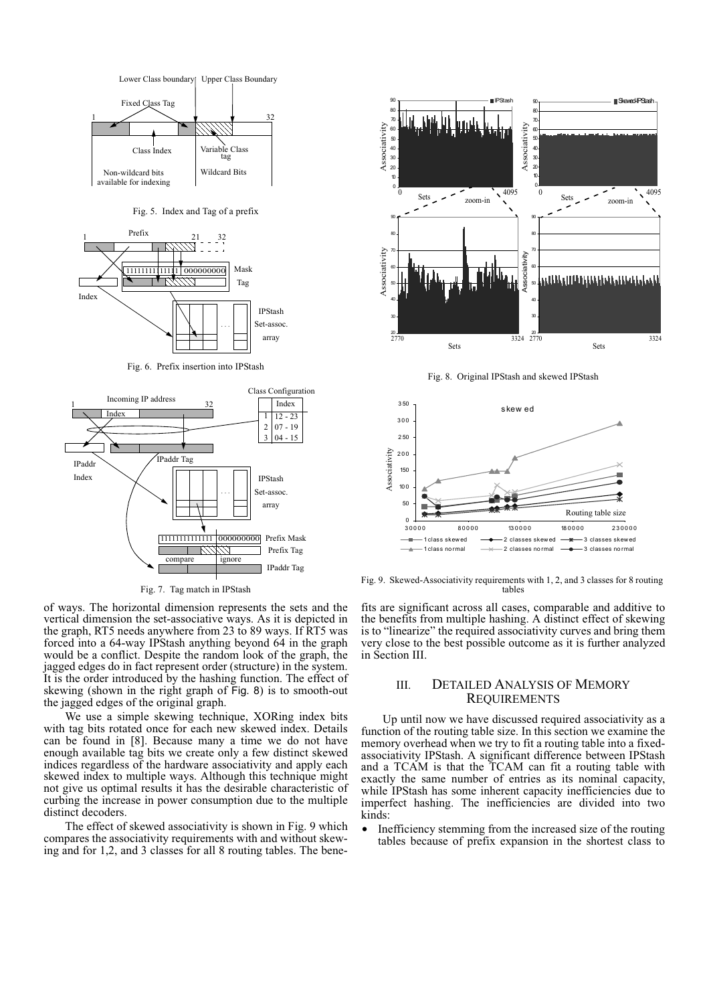

Fig. 5. Index and Tag of a prefix



Fig. 6. Prefix insertion into IPStash



Fig. 7. Tag match in IPStash

of ways. The horizontal dimension represents the sets and the vertical dimension the set-associative ways. As it is depicted in the graph, RT5 needs anywhere from 23 to 89 ways. If RT5 was forced into a 64-way IPStash anything beyond 64 in the graph would be a conflict. Despite the random look of the graph, the jagged edges do in fact represent order (structure) in the system. It is the order introduced by the hashing function. The effect of skewing (shown in the right graph of Fig. 8) is to smooth-out the jagged edges of the original graph.

We use a simple skewing technique, XORing index bits with tag bits rotated once for each new skewed index. Details can be found in [\[8\]](#page-9-0). Because many a time we do not have enough available tag bits we create only a few distinct skewed indices regardless of the hardware associativity and apply each skewed index to multiple ways. Although this technique might not give us optimal results it has the desirable characteristic of curbing the increase in power consumption due to the multiple distinct decoders.

The effect of skewed associativity is shown in Fig. 9 which compares the associativity requirements with and without skewing and for 1,2, and 3 classes for all 8 routing tables. The bene-



Fig. 8. Original IPStash and skewed IPStash



Fig. 9. Skewed-Associativity requirements with 1, 2, and 3 classes for 8 routing tables

fits are significant across all cases, comparable and additive to the benefits from multiple hashing. A distinct effect of skewing is to "linearize" the required associativity curves and bring them very close to the best possible outcome as it is further analyzed in [Section III.](#page-4-0)

# <span id="page-4-0"></span>III. DETAILED ANALYSIS OF MEMORY REQUIREMENTS

Up until now we have discussed required associativity as a function of the routing table size. In this section we examine the memory overhead when we try to fit a routing table into a fixedassociativity IPStash. A significant difference between IPStash and a TCAM is that the TCAM can fit a routing table with exactly the same number of entries as its nominal capacity, while IPStash has some inherent capacity inefficiencies due to imperfect hashing. The inefficiencies are divided into two kinds:

**•** Inefficiency stemming from the increased size of the routing tables because of prefix expansion in the shortest class to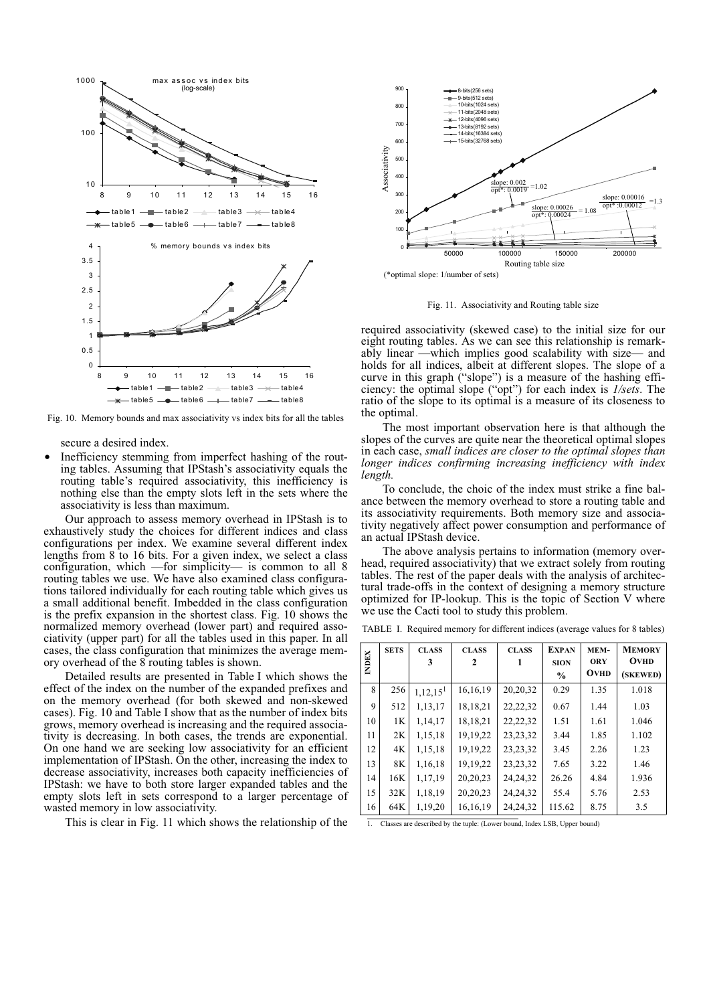

Fig. 10. Memory bounds and max associativity vs index bits for all the tables

secure a desired index.

**•** Inefficiency stemming from imperfect hashing of the routing tables. Assuming that IPStash's associativity equals the routing table's required associativity, this inefficiency is nothing else than the empty slots left in the sets where the associativity is less than maximum.

Our approach to assess memory overhead in IPStash is to exhaustively study the choices for different indices and class configurations per index. We examine several different index lengths from 8 to 16 bits. For a given index, we select a class configuration, which —for simplicity— is common to all 8 routing tables we use. We have also examined class configurations tailored individually for each routing table which gives us a small additional benefit. Imbedded in the class configuration is the prefix expansion in the shortest class. Fig. 10 shows the normalized memory overhead (lower part) and required associativity (upper part) for all the tables used in this paper. In all cases, the class configuration that minimizes the average memory overhead of the 8 routing tables is shown.

Detailed results are presented in Table I which shows the effect of the index on the number of the expanded prefixes and on the memory overhead (for both skewed and non-skewed cases). Fig. 10 and Table I show that as the number of index bits grows, memory overhead is increasing and the required associativity is decreasing. In both cases, the trends are exponential. On one hand we are seeking low associativity for an efficient implementation of IPStash. On the other, increasing the index to decrease associativity, increases both capacity inefficiencies of IPStash: we have to both store larger expanded tables and the empty slots left in sets correspond to a larger percentage of wasted memory in low associativity.

This is clear in Fig. 11 which shows the relationship of the



Fig. 11. Associativity and Routing table size

required associativity (skewed case) to the initial size for our eight routing tables. As we can see this relationship is remarkably linear —which implies good scalability with size— and holds for all indices, albeit at different slopes. The slope of a curve in this graph ("slope") is a measure of the hashing efficiency: the optimal slope ("opt") for each index is *1/sets*. The ratio of the slope to its optimal is a measure of its closeness to the optimal.

The most important observation here is that although the slopes of the curves are quite near the theoretical optimal slopes in each case, *small indices are closer to the optimal slopes than longer indices confirming increasing inefficiency with index length.*

To conclude, the choic of the index must strike a fine balance between the memory overhead to store a routing table and its associativity requirements. Both memory size and associativity negatively affect power consumption and performance of an actual IPStash device.

The above analysis pertains to information (memory overhead, required associativity) that we extract solely from routing tables. The rest of the paper deals with the analysis of architectural trade-offs in the context of designing a memory structure optimized for IP-lookup. This is the topic of [Section V](#page-6-0) where we use the Cacti tool to study this problem.

|  |  | TABLE I. Required memory for different indices (average values for 8 tables) |  |  |  |  |  |  |
|--|--|------------------------------------------------------------------------------|--|--|--|--|--|--|
|--|--|------------------------------------------------------------------------------|--|--|--|--|--|--|

| <b>INDEX</b> | <b>SETS</b> | <b>CLASS</b><br>3      | <b>CLASS</b><br>2 | <b>CLASS</b><br>1 | <b>EXPAN</b><br><b>SION</b><br>$\frac{0}{0}$ | MEM-<br><b>ORY</b><br><b>OVHD</b> | <b>MEMORY</b><br><b>OVHD</b><br>(SKEWED) |
|--------------|-------------|------------------------|-------------------|-------------------|----------------------------------------------|-----------------------------------|------------------------------------------|
| 8            | 256         | $1,12,15$ <sup>1</sup> | 16, 16, 19        | 20,20,32          | 0.29                                         | 1.35                              | 1.018                                    |
| $\mathbf Q$  | 512         | 1,13,17                | 18,18,21          | 22, 22, 32        | 0.67                                         | 1.44                              | 1.03                                     |
| 10           | 1K          | 1,14,17                | 18,18,21          | 22, 22, 32        | 1.51                                         | 1.61                              | 1.046                                    |
| 11           | 2K          | 1,15,18                | 19, 19, 22        | 23, 23, 32        | 3.44                                         | 1.85                              | 1.102                                    |
| 12           | 4K          | 1,15,18                | 19, 19, 22        | 23, 23, 32        | 3.45                                         | 2.26                              | 1.23                                     |
| 13           | 8K          | 1,16,18                | 19, 19, 22        | 23, 23, 32        | 7.65                                         | 3.22                              | 1.46                                     |
| 14           | 16K         | 1,17,19                | 20, 20, 23        | 24, 24, 32        | 26.26                                        | 4.84                              | 1.936                                    |
| 15           | 32K         | 1,18,19                | 20, 20, 23        | 24, 24, 32        | 55.4                                         | 5.76                              | 2.53                                     |
| 16           | 64K         | 1,19,20                | 16, 16, 19        | 24, 24, 32        | 115.62                                       | 8.75                              | 3.5                                      |

1. Classes are described by the tuple: (Lower bound, Index LSB, Upper bound)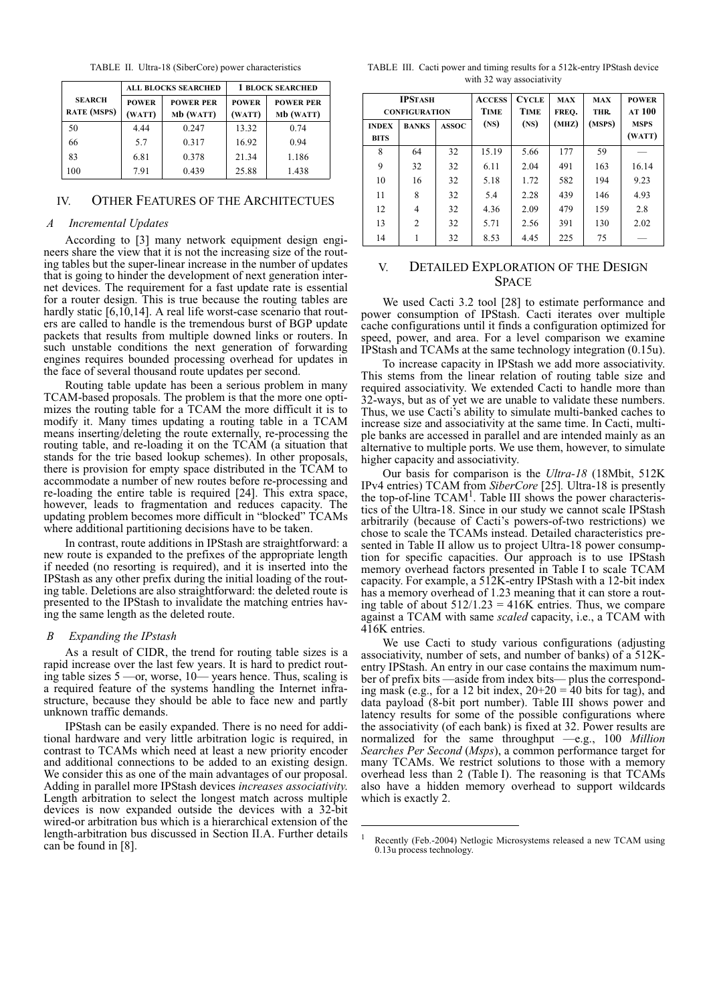TABLE II. Ultra-18 (SiberCore) power characteristics

|                                     |                        | <b>ALL BLOCKS SEARCHED</b>    | <b>1 BLOCK SEARCHED</b> |                               |  |
|-------------------------------------|------------------------|-------------------------------|-------------------------|-------------------------------|--|
| <b>SEARCH</b><br><b>RATE</b> (MSPS) | <b>POWER</b><br>(WATT) | <b>POWER PER</b><br>Mb (WATT) |                         | <b>POWER PER</b><br>Mb (WATT) |  |
| 50                                  | 4.44                   | 0.247                         | 13.32                   | 0.74                          |  |
| 66                                  | 5.7                    | 0.317                         | 16.92                   | 0.94                          |  |
| 83                                  | 6.81                   | 0.378                         | 21.34                   | 1.186                         |  |
| 100                                 | 7.91                   | 0.439                         | 25.88                   | 1.438                         |  |

# <span id="page-6-1"></span>IV. OTHER FEATURES OF THE ARCHITECTUES

#### *A Incremental Updates*

According to [\[3\]](#page-8-0) many network equipment design engineers share the view that it is not the increasing size of the routing tables but the super-linear increase in the number of updates that is going to hinder the development of next generation internet devices. The requirement for a fast update rate is essential for a router design. This is true because the routing tables are hardly static [6,10,14]. A real life worst-case scenario that routers are called to handle is the tremendous burst of BGP update packets that results from multiple downed links or routers. In such unstable conditions the next generation of forwarding engines requires bounded processing overhead for updates in the face of several thousand route updates per second.

Routing table update has been a serious problem in many TCAM-based proposals. The problem is that the more one optimizes the routing table for a TCAM the more difficult it is to modify it. Many times updating a routing table in a TCAM means inserting/deleting the route externally, re-processing the routing table, and re-loading it on the TCAM (a situation that stands for the trie based lookup schemes). In other proposals, there is provision for empty space distributed in the TCAM to accommodate a number of new routes before re-processing and re-loading the entire table is required [24]. This extra space, however, leads to fragmentation and reduces capacity. The updating problem becomes more difficult in "blocked" TCAMs where additional partitioning decisions have to be taken.

In contrast, route additions in IPStash are straightforward: a new route is expanded to the prefixes of the appropriate length if needed (no resorting is required), and it is inserted into the IPStash as any other prefix during the initial loading of the routing table. Deletions are also straightforward: the deleted route is presented to the IPStash to invalidate the matching entries having the same length as the deleted route.

# *B Expanding the IPstash*

As a result of CIDR, the trend for routing table sizes is a rapid increase over the last few years. It is hard to predict routing table sizes 5 —or, worse, 10— years hence. Thus, scaling is a required feature of the systems handling the Internet infrastructure, because they should be able to face new and partly unknown traffic demands.

IPStash can be easily expanded. There is no need for additional hardware and very little arbitration logic is required, in contrast to TCAMs which need at least a new priority encoder and additional connections to be added to an existing design. We consider this as one of the main advantages of our proposal. Adding in parallel more IPStash devices *increases associativity*. Length arbitration to select the longest match across multiple devices is now expanded outside the devices with a 32-bit wired-or arbitration bus which is a hierarchical extension of the length-arbitration bus discussed in [Section](#page-1-1) II.A. Further details can be found in [\[8\].](#page-9-0)

TABLE III. Cacti power and timing results for a 512k-entry IPStash device with 32 way associativity

| <b>IPSTASH</b><br><b>CONFIGURATION</b> |                |              | <b>ACCESS</b><br><b>TIME</b> | <b>CYCLE</b><br><b>TIME</b> | <b>MAX</b><br>FREO. | <b>MAX</b><br>THR. | <b>POWER</b><br>AT 100 |
|----------------------------------------|----------------|--------------|------------------------------|-----------------------------|---------------------|--------------------|------------------------|
| <b>INDEX</b><br><b>BITS</b>            | <b>BANKS</b>   | <b>ASSOC</b> | (NS)                         | (NS)                        | (MHZ)               | (MSPS)             | <b>MSPS</b><br>(WATT)  |
| 8                                      | 64             | 32           | 15.19                        | 5.66                        | 177                 | 59                 |                        |
| 9                                      | 32             | 32           | 6.11                         | 2.04                        | 491                 | 163                | 16.14                  |
| 10                                     | 16             | 32           | 5.18                         | 1.72                        | 582                 | 194                | 9.23                   |
| 11                                     | 8              | 32           | 5.4                          | 2.28                        | 439                 | 146                | 4.93                   |
| 12                                     | $\overline{4}$ | 32           | 4.36                         | 2.09                        | 479                 | 159                | 2.8                    |
| 13                                     | 2              | 32           | 5.71                         | 2.56                        | 391                 | 130                | 2.02                   |
| 14                                     | 1              | 32           | 8.53                         | 4.45                        | 225                 | 75                 |                        |

# <span id="page-6-0"></span>V. DETAILED EXPLORATION OF THE DESIGN **SPACE**

We used Cacti 3.2 tool [28] to estimate performance and power consumption of IPStash. Cacti iterates over multiple cache configurations until it finds a configuration optimized for speed, power, and area. For a level comparison we examine IPStash and TCAMs at the same technology integration (0.15u).

To increase capacity in IPStash we add more associativity. This stems from the linear relation of routing table size and required associativity. We extended Cacti to handle more than 32-ways, but as of yet we are unable to validate these numbers. Thus, we use Cacti's ability to simulate multi-banked caches to increase size and associativity at the same time. In Cacti, multiple banks are accessed in parallel and are intended mainly as an alternative to multiple ports. We use them, however, to simulate higher capacity and associativity.

Our basis for comparison is the *Ultra-18* (18Mbit, 512K IPv4 entries) TCAM from *SiberCore* [25]*.* Ultra-18 is presently the top-of-line TCAM<sup>1</sup>. Table III shows the power characteristics of the Ultra-18. Since in our study we cannot scale IPStash arbitrarily (because of Cacti's powers-of-two restrictions) we chose to scale the TCAMs instead. Detailed characteristics presented in Table II allow us to project Ultra-18 power consumption for specific capacities. Our approach is to use IPStash memory overhead factors presented in Table I to scale TCAM capacity. For example, a 512K-entry IPStash with a 12-bit index has a memory overhead of 1.23 meaning that it can store a routing table of about  $512/1.23 = 416K$  entries. Thus, we compare against a TCAM with same *scaled* capacity, i.e., a TCAM with 416K entries.

We use Cacti to study various configurations (adjusting associativity, number of sets, and number of banks) of a 512Kentry IPStash. An entry in our case contains the maximum number of prefix bits —aside from index bits— plus the corresponding mask (e.g., for a 12 bit index,  $20+20 = 40$  bits for tag), and data payload (8-bit port number). Table III shows power and latency results for some of the possible configurations where the associativity (of each bank) is fixed at 32. Power results are normalized for the same throughput —e.g., 100 *Million Searches Per Second* (*Msps*), a common performance target for many TCAMs. We restrict solutions to those with a memory overhead less than 2 (Table I). The reasoning is that TCAMs also have a hidden memory overhead to support wildcards which is exactly 2.

<sup>&</sup>lt;sup>1</sup> Recently (Feb.-2004) Netlogic Microsystems released a new TCAM using 0.13u process technology.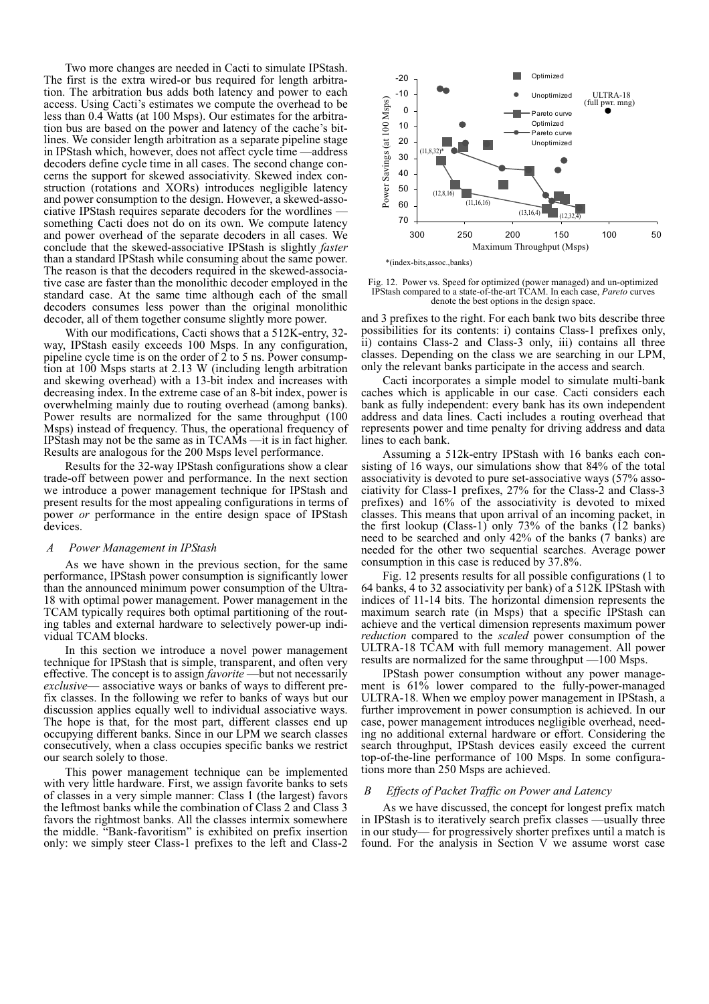Two more changes are needed in Cacti to simulate IPStash. The first is the extra wired-or bus required for length arbitration. The arbitration bus adds both latency and power to each access. Using Cacti's estimates we compute the overhead to be less than 0.4 Watts (at 100 Msps). Our estimates for the arbitration bus are based on the power and latency of the cache's bitlines. We consider length arbitration as a separate pipeline stage in IPStash which, however, does not affect cycle time —address decoders define cycle time in all cases. The second change concerns the support for skewed associativity. Skewed index construction (rotations and XORs) introduces negligible latency and power consumption to the design. However, a skewed-associative IPStash requires separate decoders for the wordlines something Cacti does not do on its own. We compute latency and power overhead of the separate decoders in all cases. We conclude that the skewed-associative IPStash is slightly *faster* than a standard IPStash while consuming about the same power. The reason is that the decoders required in the skewed-associative case are faster than the monolithic decoder employed in the standard case. At the same time although each of the small decoders consumes less power than the original monolithic decoder, all of them together consume slightly more power.

With our modifications, Cacti shows that a 512K-entry, 32 way, IPStash easily exceeds 100 Msps. In any configuration, pipeline cycle time is on the order of 2 to 5 ns. Power consumption at 100 Msps starts at 2.13 W (including length arbitration and skewing overhead) with a 13-bit index and increases with decreasing index. In the extreme case of an 8-bit index, power is overwhelming mainly due to routing overhead (among banks). Power results are normalized for the same throughput (100 Msps) instead of frequency. Thus, the operational frequency of IPStash may not be the same as in TCAMs —it is in fact higher. Results are analogous for the 200 Msps level performance.

Results for the 32-way IPStash configurations show a clear trade-off between power and performance. In the next section we introduce a power management technique for IPStash and present results for the most appealing configurations in terms of power *or* performance in the entire design space of IPStash devices.

#### *A Power Management in IPStash*

As we have shown in the previous section, for the same performance, IPStash power consumption is significantly lower than the announced minimum power consumption of the Ultra-18 with optimal power management. Power management in the TCAM typically requires both optimal partitioning of the routing tables and external hardware to selectively power-up individual TCAM blocks.

In this section we introduce a novel power management technique for IPStash that is simple, transparent, and often very effective. The concept is to assign *favorite* —but not necessarily *exclusive*— associative ways or banks of ways to different prefix classes. In the following we refer to banks of ways but our discussion applies equally well to individual associative ways. The hope is that, for the most part, different classes end up occupying different banks. Since in our LPM we search classes consecutively, when a class occupies specific banks we restrict our search solely to those.

This power management technique can be implemented with very little hardware. First, we assign favorite banks to sets of classes in a very simple manner: Class 1 (the largest) favors the leftmost banks while the combination of Class 2 and Class 3 favors the rightmost banks. All the classes intermix somewhere the middle. "Bank-favoritism" is exhibited on prefix insertion only: we simply steer Class-1 prefixes to the left and Class-2



Fig. 12. Power vs. Speed for optimized (power managed) and un-optimized IPStash compared to a state-of-the-art TCAM. In each case, *Pareto* curves denote the best options in the design space.

and 3 prefixes to the right. For each bank two bits describe three possibilities for its contents: i) contains Class-1 prefixes only, ii) contains Class-2 and Class-3 only, iii) contains all three classes. Depending on the class we are searching in our LPM, only the relevant banks participate in the access and search.

Cacti incorporates a simple model to simulate multi-bank caches which is applicable in our case. Cacti considers each bank as fully independent: every bank has its own independent address and data lines. Cacti includes a routing overhead that represents power and time penalty for driving address and data lines to each bank.

Assuming a 512k-entry IPStash with 16 banks each consisting of 16 ways, our simulations show that 84% of the total associativity is devoted to pure set-associative ways (57% associativity for Class-1 prefixes, 27% for the Class-2 and Class-3 prefixes) and 16% of the associativity is devoted to mixed classes. This means that upon arrival of an incoming packet, in the first lookup (Class-1) only 73% of the banks  $(12 \text{ banks})$ need to be searched and only 42% of the banks (7 banks) are needed for the other two sequential searches. Average power consumption in this case is reduced by 37.8%.

Fig. 12 presents results for all possible configurations (1 to 64 banks, 4 to 32 associativity per bank) of a 512K IPStash with indices of 11-14 bits. The horizontal dimension represents the maximum search rate (in Msps) that a specific IPStash can achieve and the vertical dimension represents maximum power *reduction* compared to the *scaled* power consumption of the ULTRA-18 TCAM with full memory management. All power results are normalized for the same throughput —100 Msps.

IPStash power consumption without any power management is 61% lower compared to the fully-power-managed ULTRA-18. When we employ power management in IPStash, a further improvement in power consumption is achieved. In our case, power management introduces negligible overhead, needing no additional external hardware or effort. Considering the search throughput, IPStash devices easily exceed the current top-of-the-line performance of 100 Msps. In some configurations more than 250 Msps are achieved.

#### *B Effects of Packet Traffic on Power and Latency*

As we have discussed, the concept for longest prefix match in IPStash is to iteratively search prefix classes —usually three in our study— for progressively shorter prefixes until a match is found. For the analysis in [Section V](#page-6-0) we assume worst case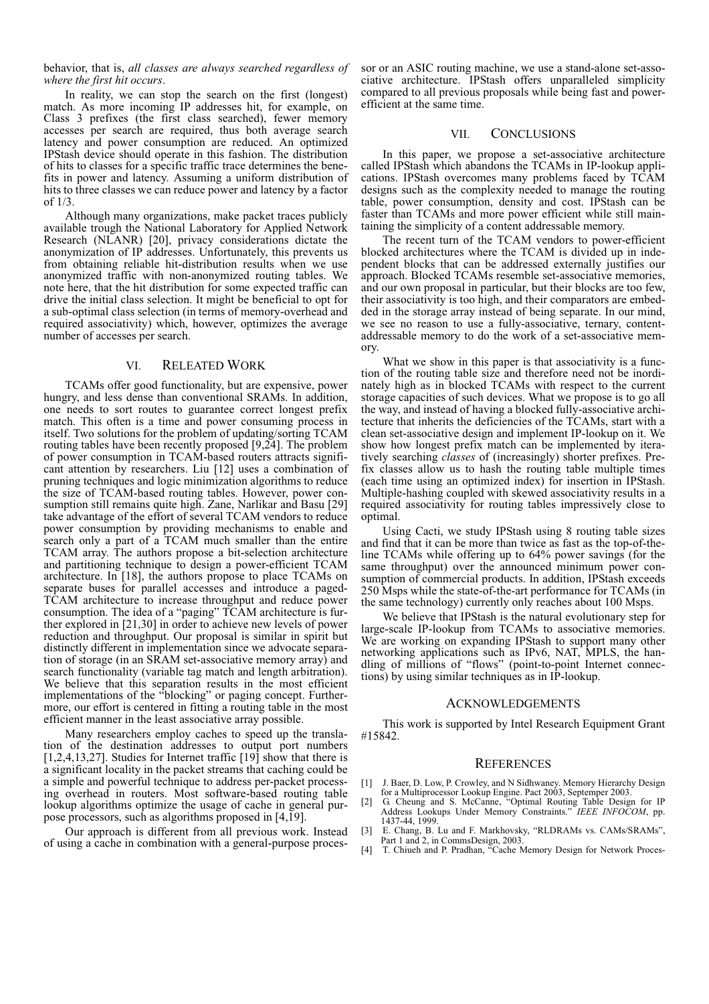# behavior, that is, *all classes are always searched regardless of where the first hit occurs*.

In reality, we can stop the search on the first (longest) match. As more incoming IP addresses hit, for example, on Class 3 prefixes (the first class searched), fewer memory accesses per search are required, thus both average search latency and power consumption are reduced. An optimized IPStash device should operate in this fashion. The distribution of hits to classes for a specific traffic trace determines the benefits in power and latency. Assuming a uniform distribution of hits to three classes we can reduce power and latency by a factor of 1/3.

Although many organizations, make packet traces publicly available trough the National Laboratory for Applied Network Research (NLANR) [20], privacy considerations dictate the anonymization of IP addresses. Unfortunately, this prevents us from obtaining reliable hit-distribution results when we use anonymized traffic with non-anonymized routing tables. We note here, that the hit distribution for some expected traffic can drive the initial class selection. It might be beneficial to opt for a sub-optimal class selection (in terms of memory-overhead and required associativity) which, however, optimizes the average number of accesses per search.

# VI. RELEATED WORK

<span id="page-8-1"></span>TCAMs offer good functionality, but are expensive, power hungry, and less dense than conventional SRAMs. In addition, one needs to sort routes to guarantee correct longest prefix match. This often is a time and power consuming process in itself. Two solutions for the problem of updating/sorting TCAM routing tables have been recently proposed [9,24]. The problem of power consumption in TCAM-based routers attracts significant attention by researchers. Liu [12] uses a combination of pruning techniques and logic minimization algorithms to reduce the size of TCAM-based routing tables. However, power consumption still remains quite high. Zane, Narlikar and Basu [29] take advantage of the effort of several TCAM vendors to reduce power consumption by providing mechanisms to enable and search only a part of a TCAM much smaller than the entire TCAM array. The authors propose a bit-selection architecture and partitioning technique to design a power-efficient TCAM architecture. In [18], the authors propose to place TCAMs on separate buses for parallel accesses and introduce a paged-TCAM architecture to increase throughput and reduce power consumption. The idea of a "paging" TCAM architecture is further explored in [21,30] in order to achieve new levels of power reduction and throughput. Our proposal is similar in spirit but distinctly different in implementation since we advocate separation of storage (in an SRAM set-associative memory array) and search functionality (variable tag match and length arbitration). We believe that this separation results in the most efficient implementations of the "blocking" or paging concept. Furthermore, our effort is centered in fitting a routing table in the most efficient manner in the least associative array possible.

Many researchers employ caches to speed up the translation of the destination addresses to output port numbers [1,2,4,13,27]. Studies for Internet traffic [19] show that there is a significant locality in the packet streams that caching could be a simple and powerful technique to address per-packet processing overhead in routers. Most software-based routing table lookup algorithms optimize the usage of cache in general purpose processors, such as algorithms proposed in [4,19].

Our approach is different from all previous work. Instead of using a cache in combination with a general-purpose processor or an ASIC routing machine, we use a stand-alone set-associative architecture. IPStash offers unparalleled simplicity compared to all previous proposals while being fast and powerefficient at the same time.

## VII. CONCLUSIONS

<span id="page-8-2"></span>In this paper, we propose a set-associative architecture called IPStash which abandons the TCAMs in IP-lookup applications. IPStash overcomes many problems faced by TCAM designs such as the complexity needed to manage the routing table, power consumption, density and cost. IPStash can be faster than TCAMs and more power efficient while still maintaining the simplicity of a content addressable memory.

The recent turn of the TCAM vendors to power-efficient blocked architectures where the TCAM is divided up in independent blocks that can be addressed externally justifies our approach. Blocked TCAMs resemble set-associative memories, and our own proposal in particular, but their blocks are too few, their associativity is too high, and their comparators are embedded in the storage array instead of being separate. In our mind, we see no reason to use a fully-associative, ternary, contentaddressable memory to do the work of a set-associative memory.

What we show in this paper is that associativity is a function of the routing table size and therefore need not be inordinately high as in blocked TCAMs with respect to the current storage capacities of such devices. What we propose is to go all the way, and instead of having a blocked fully-associative architecture that inherits the deficiencies of the TCAMs, start with a clean set-associative design and implement IP-lookup on it. We show how longest prefix match can be implemented by iteratively searching *classes* of (increasingly) shorter prefixes. Prefix classes allow us to hash the routing table multiple times (each time using an optimized index) for insertion in IPStash. Multiple-hashing coupled with skewed associativity results in a required associativity for routing tables impressively close to optimal.

Using Cacti, we study IPStash using 8 routing table sizes and find that it can be more than twice as fast as the top-of-theline TCAMs while offering up to 64% power savings (for the same throughput) over the announced minimum power consumption of commercial products. In addition, IPStash exceeds 250 Msps while the state-of-the-art performance for TCAMs (in the same technology) currently only reaches about 100 Msps.

We believe that IPStash is the natural evolutionary step for large-scale IP-lookup from TCAMs to associative memories. We are working on expanding IPStash to support many other networking applications such as IPv6, NAT, MPLS, the handling of millions of "flows" (point-to-point Internet connections) by using similar techniques as in IP-lookup.

### ACKNOWLEDGEMENTS

This work is supported by Intel Research Equipment Grant #15842.

# **REFERENCES**

- [1] J. Baer, D. Low, P. Crowley, and N Sidhwaney. Memory Hierarchy Design for a Multiprocessor Lookup Engine. Pact 2003, Septemper 2003. [2] G. Cheung and S. McCanne, "Optimal Routing Table Design for IP
- Address Lookups Under Memory Constraints." *IEEE INFOCOM*, pp. 1437-44, 1999.
- <span id="page-8-0"></span>[3] E. Chang, B. Lu and F. Markhovsky, "RLDRAMs vs. CAMs/SRAMs", Part 1 and 2, in CommsDesign, 2003.
- [4] T. Chiueh and P. Pradhan, "Cache Memory Design for Network Proces-